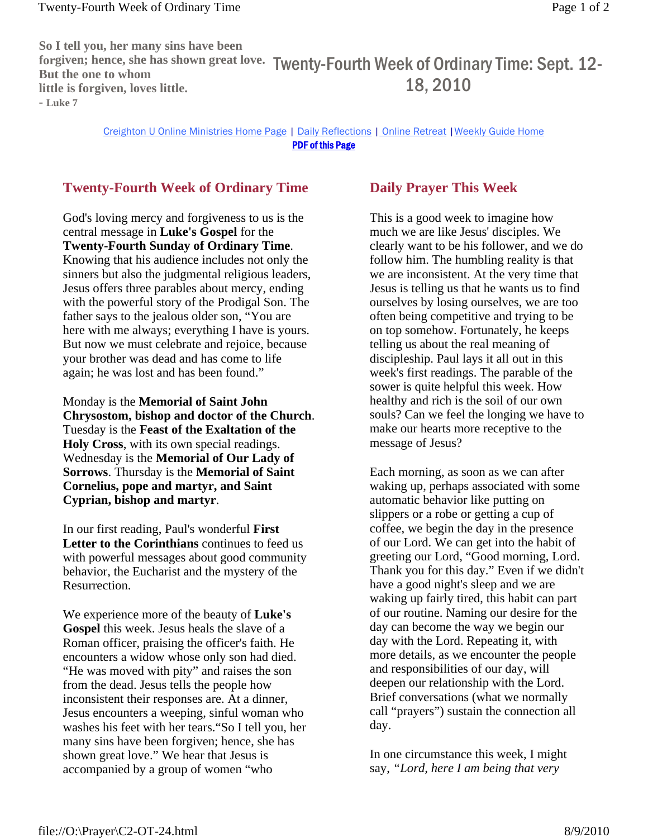**So I tell you, her many sins have been forgiven; hence, she has shown great love.**  Twenty-Fourth Week of Ordinary Time: Sept. 12- **But the one to whom little is forgiven, loves little. - Luke 7** 18, 2010

> Creighton U Online Ministries Home Page | Daily Reflections | Online Retreat |Weekly Guide Home PDF of this Page

## **Twenty-Fourth Week of Ordinary Time**

God's loving mercy and forgiveness to us is the central message in **Luke's Gospel** for the **Twenty-Fourth Sunday of Ordinary Time**. Knowing that his audience includes not only the sinners but also the judgmental religious leaders, Jesus offers three parables about mercy, ending with the powerful story of the Prodigal Son. The father says to the jealous older son, "You are here with me always; everything I have is yours. But now we must celebrate and rejoice, because your brother was dead and has come to life again; he was lost and has been found."

Monday is the **Memorial of Saint John Chrysostom, bishop and doctor of the Church**. Tuesday is the **Feast of the Exaltation of the Holy Cross**, with its own special readings. Wednesday is the **Memorial of Our Lady of Sorrows**. Thursday is the **Memorial of Saint Cornelius, pope and martyr, and Saint Cyprian, bishop and martyr**.

In our first reading, Paul's wonderful **First Letter to the Corinthians** continues to feed us with powerful messages about good community behavior, the Eucharist and the mystery of the Resurrection.

We experience more of the beauty of **Luke's Gospel** this week. Jesus heals the slave of a Roman officer, praising the officer's faith. He encounters a widow whose only son had died. "He was moved with pity" and raises the son from the dead. Jesus tells the people how inconsistent their responses are. At a dinner, Jesus encounters a weeping, sinful woman who washes his feet with her tears."So I tell you, her many sins have been forgiven; hence, she has shown great love." We hear that Jesus is accompanied by a group of women "who

## **Daily Prayer This Week**

This is a good week to imagine how much we are like Jesus' disciples. We clearly want to be his follower, and we do follow him. The humbling reality is that we are inconsistent. At the very time that Jesus is telling us that he wants us to find ourselves by losing ourselves, we are too often being competitive and trying to be on top somehow. Fortunately, he keeps telling us about the real meaning of discipleship. Paul lays it all out in this week's first readings. The parable of the sower is quite helpful this week. How healthy and rich is the soil of our own souls? Can we feel the longing we have to make our hearts more receptive to the message of Jesus?

Each morning, as soon as we can after waking up, perhaps associated with some automatic behavior like putting on slippers or a robe or getting a cup of coffee, we begin the day in the presence of our Lord. We can get into the habit of greeting our Lord, "Good morning, Lord. Thank you for this day." Even if we didn't have a good night's sleep and we are waking up fairly tired, this habit can part of our routine. Naming our desire for the day can become the way we begin our day with the Lord. Repeating it, with more details, as we encounter the people and responsibilities of our day, will deepen our relationship with the Lord. Brief conversations (what we normally call "prayers") sustain the connection all day.

In one circumstance this week, I might say, *"Lord, here I am being that very*